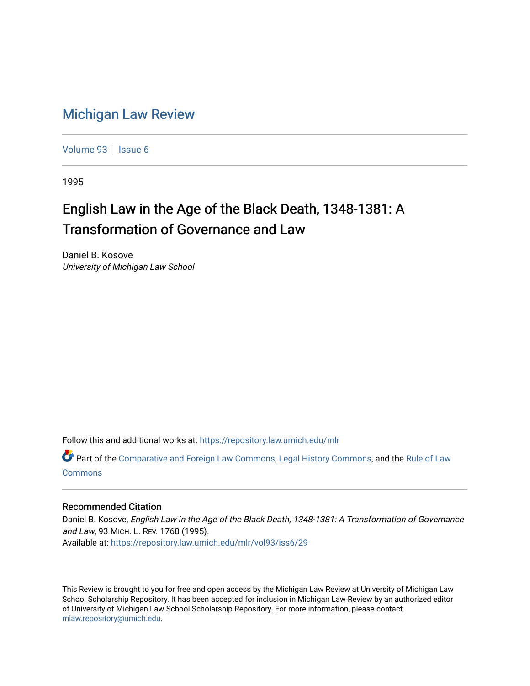## [Michigan Law Review](https://repository.law.umich.edu/mlr)

[Volume 93](https://repository.law.umich.edu/mlr/vol93) | [Issue 6](https://repository.law.umich.edu/mlr/vol93/iss6)

1995

## English Law in the Age of the Black Death, 1348-1381: A Transformation of Governance and Law

Daniel B. Kosove University of Michigan Law School

Follow this and additional works at: [https://repository.law.umich.edu/mlr](https://repository.law.umich.edu/mlr?utm_source=repository.law.umich.edu%2Fmlr%2Fvol93%2Fiss6%2F29&utm_medium=PDF&utm_campaign=PDFCoverPages) 

Part of the [Comparative and Foreign Law Commons,](http://network.bepress.com/hgg/discipline/836?utm_source=repository.law.umich.edu%2Fmlr%2Fvol93%2Fiss6%2F29&utm_medium=PDF&utm_campaign=PDFCoverPages) [Legal History Commons](http://network.bepress.com/hgg/discipline/904?utm_source=repository.law.umich.edu%2Fmlr%2Fvol93%2Fiss6%2F29&utm_medium=PDF&utm_campaign=PDFCoverPages), and the [Rule of Law](http://network.bepress.com/hgg/discipline/1122?utm_source=repository.law.umich.edu%2Fmlr%2Fvol93%2Fiss6%2F29&utm_medium=PDF&utm_campaign=PDFCoverPages) [Commons](http://network.bepress.com/hgg/discipline/1122?utm_source=repository.law.umich.edu%2Fmlr%2Fvol93%2Fiss6%2F29&utm_medium=PDF&utm_campaign=PDFCoverPages)

## Recommended Citation

Daniel B. Kosove, English Law in the Age of the Black Death, 1348-1381: A Transformation of Governance and Law, 93 MICH. L. REV. 1768 (1995). Available at: [https://repository.law.umich.edu/mlr/vol93/iss6/29](https://repository.law.umich.edu/mlr/vol93/iss6/29?utm_source=repository.law.umich.edu%2Fmlr%2Fvol93%2Fiss6%2F29&utm_medium=PDF&utm_campaign=PDFCoverPages) 

This Review is brought to you for free and open access by the Michigan Law Review at University of Michigan Law School Scholarship Repository. It has been accepted for inclusion in Michigan Law Review by an authorized editor of University of Michigan Law School Scholarship Repository. For more information, please contact [mlaw.repository@umich.edu.](mailto:mlaw.repository@umich.edu)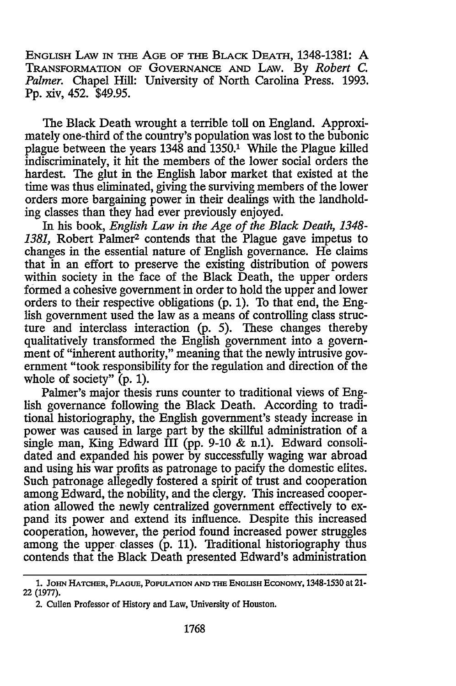ENGLISH LAW IN THE AGE OF THE BLACK DEATH, 1348-1381: A TRANSFORMATION OF GOVERNANCE AND LAW. By *Robert* c. Palmer. Chapel Hill: University of North Carolina Press. 1993. Pp. xiv, 452. \$49.95.

The Black Death wrought a terrible toll on England. Approximately one-third of the country's population was lost to the bubonic plague between the years 1348 and 1350.1 While the Plague killed indiscriminately, it hit the members of the lower social orders the hardest. The glut in the English labor market that existed at the time was thus eliminated, giving the surviving members of the lower orders more bargaining power in their dealings with the landholding classes than they had ever previously enjoyed.

In his book, *English Law in the Age of the Black Death, 1348- 1381,* Robert Palmer2 contends that the Plague gave impetus to changes in the essential nature of English governance. He claims that in an effort to preserve the existing distribution of powers within society in the face of the Black Death, the upper orders formed a cohesive government in order to hold the upper and lower orders to their respective obligations (p. 1). To that end, the English government used the law as a means of controlling class structure and interclass interaction (p. 5). These changes thereby qualitatively transformed the English government into a government of "inherent authority," meaning that the newly intrusive government "took responsibility for the regulation and direction of the whole of society"  $(p, 1)$ .

Palmer's major thesis runs counter to traditional views of English governance following the Black Death. According to traditional historiography, the English government's steady increase in power was caused in large part by the skillful administration of a single man, King Edward III (pp. 9-10 & n.1). Edward consolidated and expanded his power by successfully waging war abroad and using his war profits as patronage to pacify the domestic elites. Such patronage allegedly fostered a spirit of trust and cooperation among Edward, the nobility, and the clergy. This increased cooperation allowed the newly centralized government effectively to expand its power and extend its influence. Despite this increased cooperation, however, the period found increased power struggles among the upper classes (p. 11). Traditional historiography thus contends that the Black Death presented Edward's administration

<sup>1.</sup> JOHN HATCHER, PLAGUE, POPULATION AND THE ENGLISH ECONOMY, 1348-1530 at 21-22 (1977).

<sup>2.</sup> Cullen Professor of History and Law, University of Houston.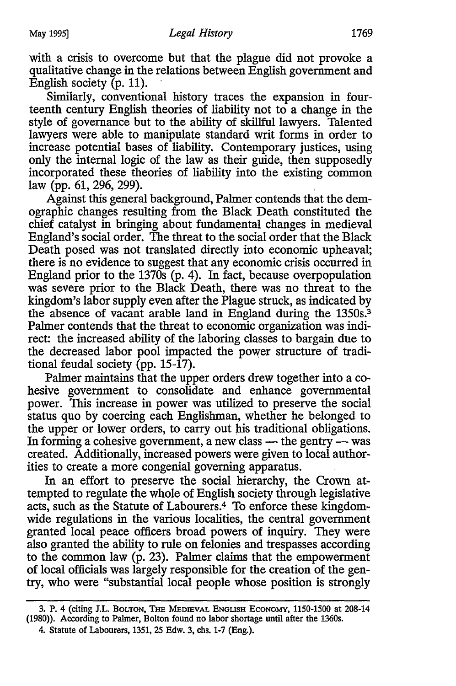with a crisis to overcome but that the plague did not provoke a qualitative change in the relations between English government and English society  $(p. 11)$ .

Similarly, conventional history traces the expansion in fourteenth century English theories of liability not to a change in the style of governance but to the ability of skillful lawyers. Talented lawyers were able to manipulate standard writ forms in order to increase potential bases of liability. Contemporary justices, using only the internal logic of the law as their guide, then supposedly incorporated these theories of liability into the existing common law (pp. 61, 296, 299).

Against this general background, Palmer contends that the demographic changes resulting from the Black Death constituted the chief catalyst in bringing about fundamental changes in medieval England's social order. The threat to the social order that the Black Death posed was not translated directly into economic upheaval; there is no evidence to suggest that any economic crisis occurred in England prior to the  $1370s$  (p. 4). In fact, because overpopulation was severe prior to the Black Death, there was no threat to the kingdom's labor supply even after the Plague struck, as indicated by the absence of vacant arable land in England during the 1350s.<sup>3</sup> Palmer contends that the threat to economic organization was indirect: the increased ability of the laboring classes to bargain due to the decreased labor pool impacted the power structure of traditional feudal society (pp.  $15-\hat{17}$ ).

Palmer maintains that the upper orders drew together into a cohesive government to consolidate and enhance governmental power. This increase in power was utilized to preserve the social status quo by coercing each Englishman, whether he belonged to the upper or lower orders, to carry out his traditional obligations. In forming a cohesive government, a new class  $-$  the gentry  $-$  was created. Additionally, increased powers were given to local authorities to create a more congenial governing apparatus.

In an effort to preserve the social hierarchy, the Crown attempted to regulate the whole of English society through legislative acts, such as the Statute of Labourers.4 To enforce these kingdomwide regulations in the various localities, the central government granted local peace officers broad powers of inquiry. They were also granted the ability to rule on felonies and trespasses according to the common law (p. 23). Palmer claims that the empowerment of local officials was largely responsible for the creation of the gentry, who were "substantial local people whose position is strongly

<sup>3.</sup> P. 4 (citing J.L. BOLTON, THE MEDIEVAL ENGLISH ECONOMY, 1150-1500 at 208-14 (1980)). According to Palmer, Bolton found no labor shortage until after the 1360s.

<sup>4.</sup> Statute of Labourers, 1351, 25 Edw. 3, chs. 1-7 (Eng.).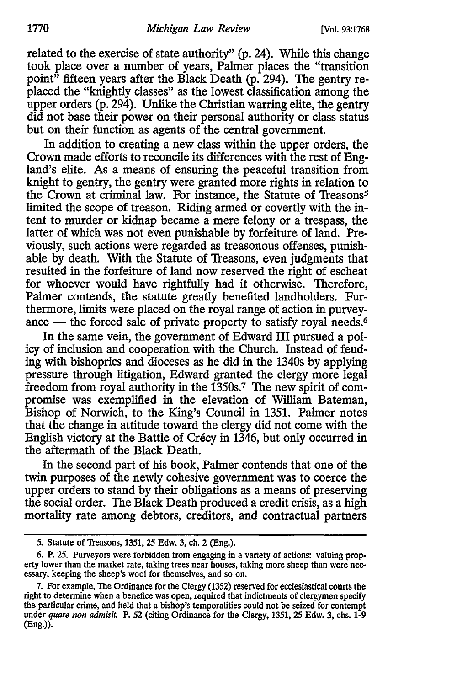related to the exercise of state authority" (p. 24). While this change took place over a number of years, Palmer places the "transition point" fifteen years after the Black Death (p. 294). The gentry replaced the "knightly classes" as the lowest classification among the upper orders (p. 294). Unlike the Christian warring elite, the gentry did not base their power on their personal authority or class status but on their function as agents of the central government.

In addition to creating a new class within the upper orders, the Crown made efforts to reconcile its differences with the rest of England's elite. As a means of ensuring the peaceful transition from knight to gentry, the gentry were granted more rights in relation to the Crown at criminal law. For instance, the Statute of Treasons<sup>5</sup> limited the scope of treason. Riding armed or covertly with the intent to murder or kidnap became a mere felony or a trespass, the latter of which was not even punishable by forfeiture of land. Previously, such actions were regarded as treasonous offenses, punishable by death. With the Statute of Treasons, even judgments that resulted in the forfeiture of land now reserved the right of escheat for whoever would have rightfully had it otherwise. Therefore, Palmer contends, the statute greatly benefited landholders. Furthermore, limits were placed on the royal range of action in purveyance  $-$  the forced sale of private property to satisfy royal needs.<sup>6</sup>

In the same vein, the government of Edward III pursued a policy of inclusion and cooperation with the Church. Instead of feuding with bishoprics and dioceses as he did in the 1340s by applying pressure through litigation, Edward granted the clergy more legal freedom from royal authority in the 1350s.7 The new spirit of compromise was exemplified in the elevation of William Bateman, Bishop of Norwich, to the King's Council in 1351. Palmer notes that the change in attitude toward the clergy did not come with the English victory at the Battle of Crecy in 1346, but only occurred in the aftermath of the Black Death.

In the second part of his book, Palmer contends that one of the twin purposes of the newly cohesive government was to coerce the upper orders to stand by their obligations as a means of preserving the social order. The Black Death produced a credit crisis, as a high mortality rate among debtors, creditors, and contractual partners

<sup>5.</sup> Statute of Treasons, 1351, 25 Edw. 3, ch. 2 (Eng.).

<sup>6.</sup> P. 25. Purveyors were forbidden from engaging in a variety of actions: valuing property lower than the market rate, taking trees near houses, taking more sheep than were nec- essary, keeping the sheep's wool for themselves, and so on.

<sup>7.</sup> For example, The Ordinance for the Clergy (1352) reserved for ecclesiastical courts the right to determine when a benefice was open, required that indictments of clergymen specify the particular crime, and held that a bishop's temporalities could not be seized for contempt under *quare non admisit.* P. 52 (citing Ordinance for the Clergy, 1351, 25 Edw. 3, chs. 1-9 (Eng.)).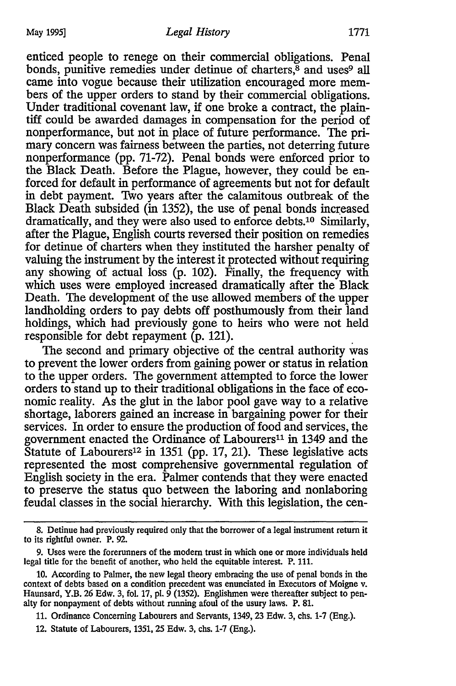enticed people to renege on their commercial obligations. Penal bonds, punitive remedies under detinue of charters, $\frac{8}{3}$  and uses<sup>9</sup> all came into vogue because their utilization encouraged more members of the upper orders to stand by their commercial obligations. Under traditional covenant law, if one broke a contract, the plaintiff could be awarded damages in compensation for the period of nonperformance, but not in place of future performance. The primary concern was fairness between the parties, not deterring future nonperformance (pp. 71-72). Penal bonds were enforced prior to the Black Death. Before the Plague, however, they could be enforced for default in performance of agreements but not for default in debt payment. Two years after the calamitous outbreak of the Black Death subsided (in 1352), the use of penal bonds increased dramatically, and they were also used to enforce debts.10 Similarly, after the Plague, English courts reversed their position on remedies for detinue of charters when they instituted the harsher penalty of valuing the instrument by the interest it protected without requiring any showing of actual loss (p. 102). Finally, the frequency with which uses were employed increased dramatically after the Black Death. The development of the use allowed members of the upper landholding orders to pay debts off posthumously from their land holdings, which had previously gone to heirs who were not held responsible for debt repayment  $(p. 121)$ .

The second and primary objective of the central authority was to prevent the lower orders from gaining power or status in relation to the upper orders. The government attempted to force the lower orders to stand up to their traditional obligations in the face of economic reality. As the glut in the labor pool gave way to a relative shortage, laborers gained an increase in bargaining power for their services. In order to ensure the production of food and services, the government enacted the Ordinance of Labourers<sup>11</sup> in 1349 and the Statute of Labourers<sup>12</sup> in 1351 (pp. 17, 21). These legislative acts represented the most comprehensive governmental regulation of English society in the era. Palmer contends that they were enacted to preserve the status quo between the laboring and nonlaboring feudal classes in the social hierarchy. With this legislation, the cen-

<sup>8.</sup> Detinue had previously required only that the borrower of a legal instrument return it to its rightful owner. P. 92.

<sup>9.</sup> Uses were the forerunners of the modern trust in which one or more individuals held legal title for the benefit of another, who held the equitable interest. P. 111.

<sup>10.</sup> According to Palmer, the new legal theory embracing the use of penal bonds in the context of debts based on a condition precedent was enunciated in Executors of Moigne v. Haunsard, Y.B. 26 Edw. 3, fol. 17, pl. 9 (1352). Englishmen were thereafter subject to penalty for nonpayment of debts without running afoul of the usury laws. P. 81.

<sup>11.</sup> Ordinance Concerning Labourers and Servants, 1349, 23 Edw. 3, chs. 1-7 (Eng.).

<sup>12.</sup> Statute of Labourers, 1351, 25 Edw. 3, chs. 1-7 (Eng.).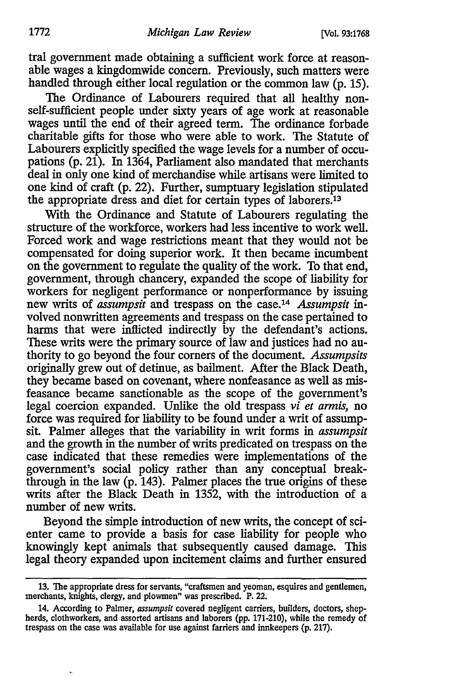tral government made obtaining a sufficient work force at reasonable wages a kingdomwide concern. Previously, such matters were handled through either local regulation or the common law (p. 15).

The Ordinance of Labourers required that all healthy nonself-sufficient people under sixty years of age work at reasonable wages until the end of their agreed term. The ordinance forbade charitable gifts for those who were able to work. The Statute of Labourers explicitly specified the wage levels for a number of occupations (p. 21). In  $1364$ , Parliament also mandated that merchants deal in only one kind of merchandise while artisans were limited to one kind of craft (p. 22). Further, sumptuary legislation stipulated the appropriate dress and diet for certain types of laborers.<sup>13</sup>

With the Ordinance and Statute of Labourers regulating the structure of the workforce, workers had less incentive to work well. Forced work and wage restrictions meant that they would not be compensated for doing superior work. It then became incumbent on the government to regulate the quality of the work. To that end, government, through chancery, expanded the scope of liability for workers for negligent performance or nonperformance by issuing new writs of *assumpsit* and trespass on the case.14 *Assumpsit* involved nonwritten agreements and trespass on the case pertained to harms that were inflicted indirectly by the defendant's actions. These writs were the primary source of law and justices had no authority to go beyond the four comers of the document. *Assumpsits*  originally grew out of detinue, as bailment. After the Black Death, they became based on covenant, where nonfeasance as well as misfeasance became sanctionable as the scope of the government's legal coercion expanded. Unlike the old trespass *vi et armis,* no force was required for liability to be found under a writ of assumpsit. Palmer alleges that the variability in writ forms in *assumpsit*  and the growth in the number of writs predicated on trespass on the case indicated that these remedies were implementations of the government's social policy rather than any conceptual breakthrough in the law (p. 143). Palmer places the true origins of these writs after the Black Death in 1352, with the introduction of a number of new writs.

Beyond the simple introduction of new writs, the concept of scienter came to provide a basis for case liability for people who knowingly kept animals that subsequently caused damage. This legal theory expanded upon incitement claims and further ensured

<sup>13.</sup> The appropriate dress for servants, "craftsmen and yeoman, esquires and gentlemen, merchants, knights, clergy, and plowmen" was prescribed. P. 22.

<sup>14.</sup> According to Palmer, *assumpsit* covered negligent carriers, builders, doctors, shepherds, clothworkers, and assorted artisans and laborers (pp. 171-210), while the remedy of trespass on the case was available for use against farriers and innkeepers (p. 217).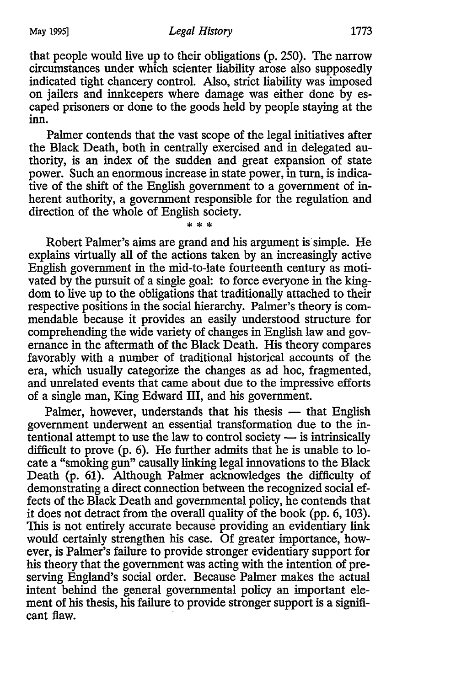that people would live up to their obligations (p. 250). The narrow circumstances under which scienter liability arose also supposedly indicated tight chancery control. Also, strict liability was imposed on jailers and innkeepers where damage was either done by escaped prisoners or done to the goods held by people staying at the inn.

Palmer contends that the vast scope of the legal initiatives after the Black Death, both in centrally exercised and in delegated authority, is an index of the sudden and great expansion of state power. Such an enormous increase in state power, in turn, is indicative of the shift of the English government to a government of inherent authority, a government responsible for the regulation and direction of the whole of English society.

\* \* \*

Robert Palmer's aims are grand and his argument is simple. He explains virtually all of the actions taken by an increasingly active English government in the mid-to-late fourteenth century as motivated by the pursuit of a single goal: to force everyone in the kingdom to live up to the obligations that traditionally attached to their respective positions in the social hierarchy. Palmer's theory is commendable because it provides an easily understood structure for comprehending the wide variety of changes in English law and governance in the aftermath of the Black Death. His theory compares favorably with a number of traditional historical accounts of the era, which usually categorize the changes as ad hoc, fragmented, and unrelated events that came about due to the impressive efforts of a single man, King Edward III, and his government.

Palmer, however, understands that his thesis — that English government underwent an essential transformation due to the intentional attempt to use the law to control society  $-$  is intrinsically difficult to prove (p. 6). He further admits that he is unable to locate a "smoking gun" causally linking legal innovations to the Black Death (p. 61). Although Palmer acknowledges the difficulty of demonstrating a direct connection between the recognized social effects of the Black Death and governmental policy, he contends that it does not detract from the overall quality of the book (pp. 6, 103). This is not entirely accurate because providing an evidentiary link would certainly strengthen his case. Of greater importance, however, is Palmer's failure to provide stronger evidentiary support for his theory that the government was acting with the intention of preserving England's social order. Because Palmer makes the actual intent behind the general governmental policy an important element of his thesis, his failure to provide stronger support is a significant flaw.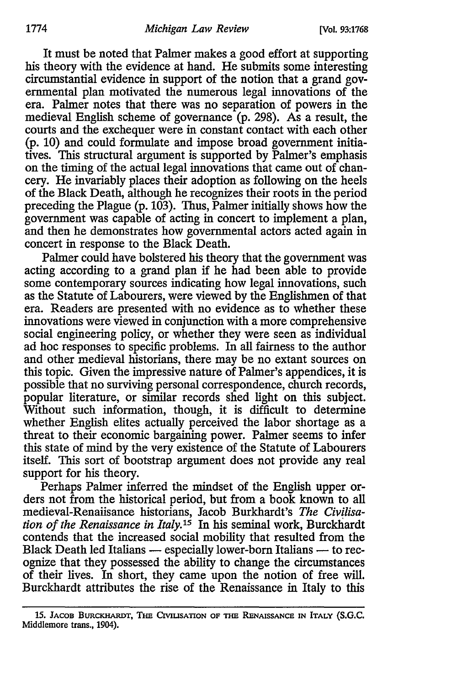It must be noted that Palmer makes a good effort at supporting his theory with the evidence at hand. He submits some interesting circumstantial evidence in support of the notion that a grand governmental plan motivated the numerous legal innovations of the era. Palmer notes that there was no separation of powers in the medieval English scheme of governance (p. 298). As a result, the courts and the exchequer were in constant contact with each other (p. 10) and could formulate and impose broad government initiatives. This structural argument is supported by Palmer's emphasis on the timing of the actual legal innovations that came out of chancery. He invariably places their adoption as following on the heels of the Black Death, although he recognizes their roots in the period preceding the Plague (p. 103). Thus, Palmer initially shows how the government was capable of acting in concert to implement a plan, and then he demonstrates how governmental actors acted again in concert in response to the Black Death.

Palmer could have bolstered his theory that the government was acting according to a grand plan if he had been able to provide some contemporary sources indicating how legal innovations, such as the Statute of Labourers, were viewed by the Englishmen of that era. Readers are presented with no evidence as to whether these innovations were viewed in conjunction with a more comprehensive social engineering policy, or whether they were seen as individual ad hoc responses to specific problems. In all fairness to the author and other medieval historians, there may be no extant sources on this topic. Given the impressive nature of Palmer's appendices, it is possible that no surviving personal correspondence, church records, popular literature, or similar records shed light on this subject. Without such information, though, it is difficult to determine whether English elites actually perceived the labor shortage as a threat to their economic bargaining power. Palmer seems to infer this state of mind by the very existence of the Statute of Labourers itself. This sort of bootstrap argument does not provide any real support for his theory.

Perhaps Palmer inferred the mindset of the English upper orders not from the historical period, but from a book known to all medieval-Renaiisance historians, Jacob Burkhardt's *The Civilisation of the Renaissance in Italy.*<sup>15</sup> In his seminal work, Burckhardt contends that the increased social mobility that resulted from the Black Death led Italians - especially lower-born Italians - to recognize that they possessed the ability to change the circumstances of their lives. In short, they came upon the notion of free will. Burckhardt attributes the rise of the Renaissance in Italy to this

<sup>15.</sup> JACOB BURCKHARDT, THE CivIUSATION OF THE RENAISSANCE IN ITALY (S.G.C. Middlemore trans., 1904).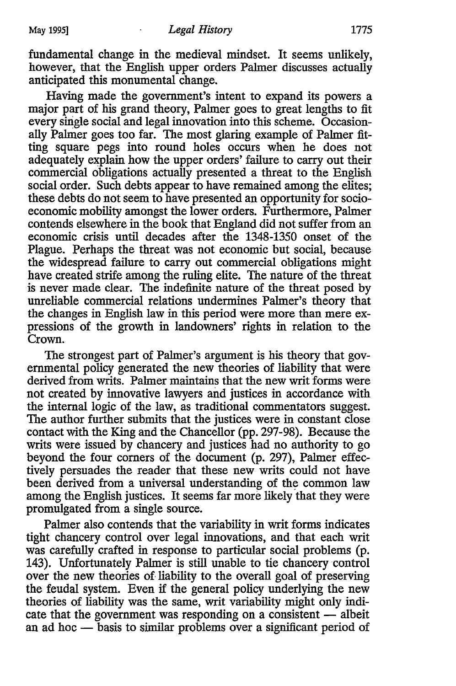fundamental change in the medieval mindset. It seems unlikely, however, that the English upper orders Palmer discusses actually anticipated this monumental change.

Having made the government's intent to expand its powers a major part of his grand theory, Palmer goes to great lengths to fit every single social and legal innovation into this scheme. Occasionally Palmer goes too far. The most glaring example of Palmer fitting square pegs into round holes occurs when he does not adequately explain how the upper orders' failure to carry out their commercial obligations actually presented a threat to the English social order. Such debts appear to have remained among the elites; these debts do not seem to have presented an opportunity for socioeconomic mobility amongst the lower orders. Furthermore, Palmer contends elsewhere in the book that England did not suffer from an economic crisis until decades after the 1348-1350 onset of the Plague. Perhaps the threat was not economic but social, because the widespread failure to carry out commercial obligations might have created strife among the ruling elite. The nature of the threat is never made clear. The indefinite nature of the threat posed by unreliable commercial relations undermines Palmer's theory that the changes in English law in this period were more than mere expressions of the growth in landowners' rights in relation to the Crown.

The strongest part of Palmer's argument is his theory that governmental policy generated the new theories of liability that were derived from writs. Palmer maintains that the new writ forms were not created by innovative lawyers and justices in accordance with the internal logic of the law, as traditional commentators suggest. The author further submits that the justices were in constant close contact with the King and the Chancellor (pp. 297-98). Because the writs were issued by chancery and justices had no authority to go beyond the four corners of the document (p. 297), Palmer effectively persuades the reader that these new writs could not have been derived from a universal understanding of the common law among the English justices. It seems far more likely that they were promulgated from a single source.

Palmer also contends that the variability in writ forms indicates tight chancery control over legal innovations, and that each writ was carefully crafted in response to particular social problems (p. 143). Unfortunately Palmer is still unable to tie chancery control over the new theories of. liability to the overall goal of preserving the feudal system. Even if the general policy underlying the new theories of liability was the same, writ variability might only indicate that the government was responding on a consistent  $-$  albeit an ad hoc  $-$  basis to similar problems over a significant period of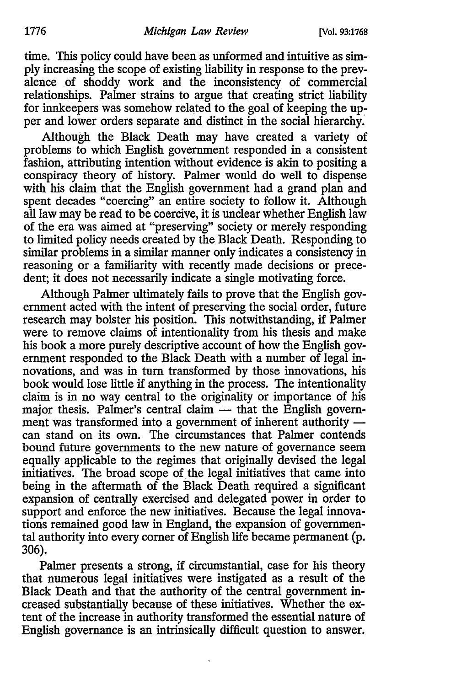time. This policy could have been as unformed and intuitive as simply increasing the scope of existing liability in response to the prevalence of shoddy work and the inconsistency of commercial relationships. Palmer strains to argue that creating strict liability for innkeepers was somehow related to the goal of keeping the upper and lower orders separate and distinct in the social hierarchy.

Although the Black Death may have created a variety of problems to which English government responded in a consistent fashion, attributing intention without evidence is akin to positing a conspiracy theory of history. Palmer would do well to dispense with his claim that the English government had a grand plan and spent decades "coercing" an entire society to follow it. Although all law may be read to be coercive, it is unclear whether English law of the era was aimed at "preserving" society or merely responding to limited policy needs created by the Black Death. Responding to similar problems in a similar manner only indicates a consistency in reasoning or a familiarity with recently made decisions or precedent; it does not necessarily indicate a single motivating force.

Although Palmer ultimately fails to prove that the English government acted with the intent of preserving the social order, future research may bolster his position. This notwithstanding, if Palmer were to remove claims of intentionality from his thesis and make his book a more purely descriptive account of how the English government responded to the Black Death with a number of legal innovations, and was in tum transformed by those innovations, his book would lose little if anything in the process. The intentionality claim is in no way central to the originality or importance of his major thesis. Palmer's central claim — that the English government was transformed into a government of inherent authority can stand on its own. The circumstances that Palmer contends bound future governments to the new nature of governance seem equally applicable to the regimes that originally devised the legal initiatives. The broad scope of the legal initiatives that came into being in the aftermath of the Black Death required a significant expansion of centrally exercised and delegated power in order to support and enforce the new initiatives. Because the legal innovations remained good law in England, the expansion of governmental authority into every comer of English life became permanent (p. 306).

Palmer presents a strong, if circumstantial, case for his theory that numerous legal initiatives were instigated as a result of the Black Death and that the authority of the central government increased substantially because of these initiatives. Whether the extent of the increase in authority transformed the essential nature of English governance is an intrinsically difficult question to answer.